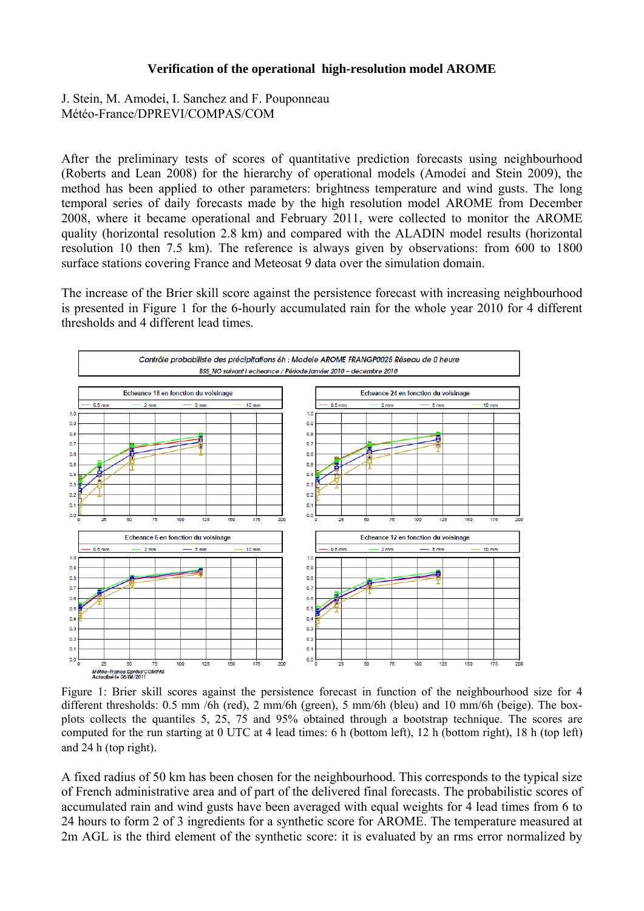## **Verification of the operational high-resolution model AROME**

J. Stein, M. Amodei, I. Sanchez and F. Pouponneau Météo-France/DPREVI/COMPAS/COM

After the preliminary tests of scores of quantitative prediction forecasts using neighbourhood (Roberts and Lean 2008) for the hierarchy of operational models (Amodei and Stein 2009), the method has been applied to other parameters: brightness temperature and wind gusts. The long temporal series of daily forecasts made by the high resolution model AROME from December 2008, where it became operational and February 2011, were collected to monitor the AROME quality (horizontal resolution 2.8 km) and compared with the ALADIN model results (horizontal resolution 10 then 7.5 km). The reference is always given by observations: from 600 to 1800 surface stations covering France and Meteosat 9 data over the simulation domain.

The increase of the Brier skill score against the persistence forecast with increasing neighbourhood is presented in Figure 1 for the 6-hourly accumulated rain for the whole year 2010 for 4 different thresholds and 4 different lead times.



different thresholds: 0.5 mm /6h (red), 2 mm/6h (green), 5 mm/6h (bleu) and 10 mm/6h (beige). The boxplots collects the quantiles 5, 25, 75 and 95% obtained through a bootstrap technique. The scores are computed for the run starting at 0 UTC at 4 lead times: 6 h (bottom left), 12 h (bottom right), 18 h (top left) and 24 h (top right).

A fixed radius of 50 km has been chosen for the neighbourhood. This corresponds to the typical size of French administrative area and of part of the delivered final forecasts. The probabilistic scores of accumulated rain and wind gusts have been averaged with equal weights for 4 lead times from 6 to 24 hours to form 2 of 3 ingredients for a synthetic score for AROME. The temperature measured at 2m AGL is the third element of the synthetic score: it is evaluated by an rms error normalized by